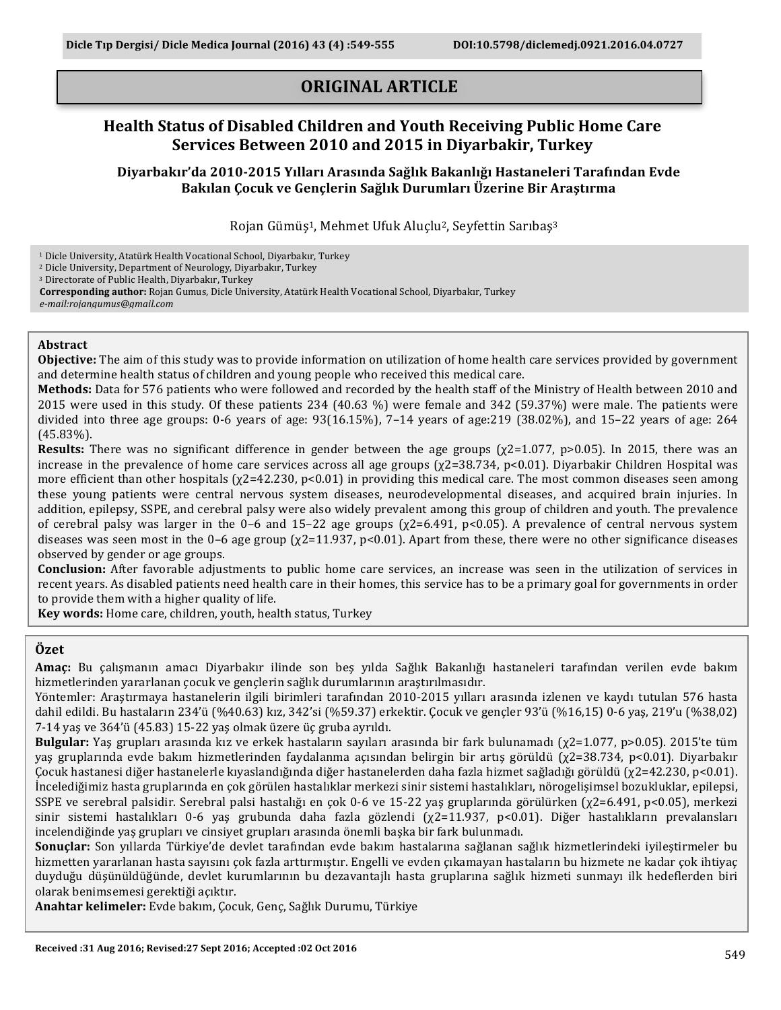# **ORIGINAL ARTICLE**

## **Health Status of Disabled Children and Youth Receiving Public Home Care Services Between 2010 and 2015 in Diyarbakir, Turkey**

Diyarbakır'da 2010-2015 Yılları Arasında Sağlık Bakanlığı Hastaneleri Tarafından Evde **Bakılan Çocuk ve Gençlerin Sağlık Durumları Üzerine Bir Araştırma**

Rojan Gümüş<sup>1</sup>, Mehmet Ufuk Aluçlu<sup>2</sup>, Seyfettin Sarıbaş<sup>3</sup>

<sup>1</sup> Dicle University, Atatürk Health Vocational School, Diyarbakır, Turkey

<sup>2</sup> Dicle University, Department of Neurology, Diyarbakır, Turkey

<sup>3</sup> Directorate of Public Health, Diyarbakır, Turkey

Corresponding author: Rojan Gumus, Dicle University, Atatürk Health Vocational School, Diyarbakır, Turkey *e-mail:rojangumus@gmail.com*

### **Abstract**

**Objective:** The aim of this study was to provide information on utilization of home health care services provided by government and determine health status of children and young people who received this medical care.

**Methods:** Data for 576 patients who were followed and recorded by the health staff of the Ministry of Health between 2010 and 2015 were used in this study. Of these patients  $234$  (40.63 %) were female and  $342$  (59.37%) were male. The patients were divided into three age groups: 0-6 years of age:  $93(16.15\%)$ ,  $7-14$  years of age: $219$  (38.02%), and  $15-22$  years of age:  $264$ (45.83%).

**Results:** There was no significant difference in gender between the age groups  $(\chi^2=1.077, p>0.05)$ . In 2015, there was an increase in the prevalence of home care services across all age groups  $(\chi^2=38.734, \text{ p} < 0.01)$ . Diyarbakir Children Hospital was more efficient than other hospitals  $(\chi^2=42.230, \text{p}<0.01)$  in providing this medical care. The most common diseases seen among these young patients were central nervous system diseases, neurodevelopmental diseases, and acquired brain injuries. In addition, epilepsy, SSPE, and cerebral palsy were also widely prevalent among this group of children and youth. The prevalence of cerebral palsy was larger in the 0–6 and 15–22 age groups  $(\chi^2=6.491, \, \text{p} < 0.05)$ . A prevalence of central nervous system diseases was seen most in the 0–6 age group  $(\chi^2=11.937, \text{ p} < 0.01)$ . Apart from these, there were no other significance diseases observed by gender or age groups.

**Conclusion:** After favorable adjustments to public home care services, an increase was seen in the utilization of services in recent years. As disabled patients need health care in their homes, this service has to be a primary goal for governments in order to provide them with a higher quality of life.

**Key words:** Home care, children, youth, health status, Turkey

## **Özet**

Amaç: Bu çalışmanın amacı Diyarbakır ilinde son beş yılda Sağlık Bakanlığı hastaneleri tarafından verilen evde bakım hizmetlerinden yararlanan çocuk ve gençlerin sağlık durumlarının araştırılmasıdır.

Yöntemler: Araştırmaya hastanelerin ilgili birimleri tarafından 2010-2015 yılları arasında izlenen ve kaydı tutulan 576 hasta dahil edildi. Bu hastaların 234'ü (%40.63) kız, 342'si (%59.37) erkektir. Cocuk ve gençler 93'ü (%16,15) 0-6 yaş, 219'u (%38,02)  $7-14$  yas ve  $364'$ ü (45.83)  $15-22$  yas olmak üzere üç gruba ayrıldı.

**Bulgular:** Yaş grupları arasında kız ve erkek hastaların sayıları arasında bir fark bulunamadı (χ2=1.077, p>0.05). 2015'te tüm yaş gruplarında evde bakım hizmetlerinden faydalanma açısından belirgin bir artış görüldü (χ2=38.734, p<0.01). Diyarbakır Çocuk hastanesi diğer hastanelerle kıyaslandığında diğer hastanelerden daha fazla hizmet sağladığı görüldü (χ2=42.230, p<0.01). İncelediğimiz hasta gruplarında en çok görülen hastalıklar merkezi sinir sistemi hastalıkları, nörogelişimsel bozukluklar, epilepsi, SSPE ve serebral palsidir. Serebral palsi hastalığı en çok 0-6 ve 15-22 yaş gruplarında görülürken  $(\chi^2=6.491, \text{ p}<0.05)$ , merkezi sinir sistemi hastalıkları 0-6 yaş grubunda daha fazla gözlendi ( $\chi$ 2=11.937, p<0.01). Diğer hastalıkların prevalansları incelendiğinde yaş grupları ve cinsiyet grupları arasında önemli başka bir fark bulunmadı.

Sonuçlar: Son yıllarda Türkiye'de devlet tarafından evde bakım hastalarına sağlanan sağlık hizmetlerindeki iyileştirmeler bu hizmetten yararlanan hasta sayısını çok fazla arttırmıştır. Engelli ve eyden çıkamayan hastaların bu hizmete ne kadar çok ihtiyaç duyduğu düşünüldüğünde, devlet kurumlarının bu dezavantajlı hasta gruplarına sağlık hizmeti sunmayı ilk hedeflerden biri olarak benimsemesi gerektiği açıktır.

**Anahtar kelimeler:** Evde bakım, Çocuk, Genç, Sağlık Durumu, Türkiye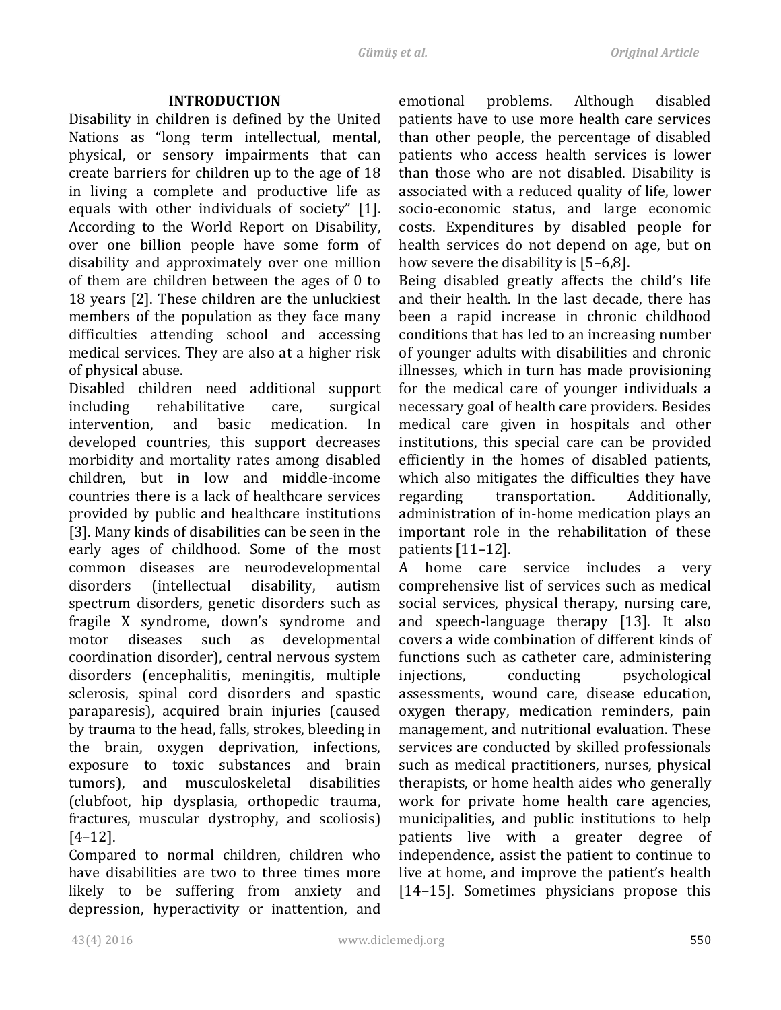## **INTRODUCTION**

Disability in children is defined by the United Nations as "long term intellectual, mental, physical, or sensory impairments that can create barriers for children up to the age of 18 in living a complete and productive life as equals with other individuals of society" [1]. According to the World Report on Disability, over one billion people have some form of disability and approximately over one million of them are children between the ages of  $0$  to 18 years [2]. These children are the unluckiest members of the population as they face many difficulties attending school and accessing medical services. They are also at a higher risk of physical abuse.

Disabled children need additional support including rehabilitative care, surgical intervention, and basic medication. In developed countries, this support decreases morbidity and mortality rates among disabled children, but in low and middle-income countries there is a lack of healthcare services provided by public and healthcare institutions [3]. Many kinds of disabilities can be seen in the early ages of childhood. Some of the most common diseases are neurodevelopmental disorders (intellectual disability, autism spectrum disorders, genetic disorders such as fragile X syndrome, down's syndrome and motor diseases such as developmental coordination disorder), central nervous system disorders (encephalitis, meningitis, multiple sclerosis, spinal cord disorders and spastic paraparesis), acquired brain injuries (caused by trauma to the head, falls, strokes, bleeding in the brain, oxygen deprivation, infections, exposure to toxic substances and brain tumors), and musculoskeletal disabilities (clubfoot, hip dysplasia, orthopedic trauma, fractures, muscular dystrophy, and scoliosis) [4–12].

Compared to normal children, children who have disabilities are two to three times more likely to be suffering from anxiety and depression, hyperactivity or inattention, and emotional problems. Although disabled patients have to use more health care services than other people, the percentage of disabled patients who access health services is lower than those who are not disabled. Disability is associated with a reduced quality of life, lower socio-economic status, and large economic costs. Expenditures by disabled people for health services do not depend on age, but on how severe the disability is  $[5-6,8]$ .

Being disabled greatly affects the child's life and their health. In the last decade, there has been a rapid increase in chronic childhood conditions that has led to an increasing number of vounger adults with disabilities and chronic illnesses, which in turn has made provisioning for the medical care of vounger individuals a necessary goal of health care providers. Besides medical care given in hospitals and other institutions, this special care can be provided efficiently in the homes of disabled patients, which also mitigates the difficulties they have regarding transportation. Additionally, administration of in-home medication plays an important role in the rehabilitation of these patients  $[11-12]$ .

A home care service includes a very comprehensive list of services such as medical social services, physical therapy, nursing care, and speech-language therapy [13]. It also covers a wide combination of different kinds of functions such as catheter care, administering injections, conducting psychological assessments, wound care, disease education, oxygen therapy, medication reminders, pain management, and nutritional evaluation. These services are conducted by skilled professionals such as medical practitioners, nurses, physical therapists, or home health aides who generally work for private home health care agencies, municipalities, and public institutions to help patients live with a greater degree of independence, assist the patient to continue to live at home, and improve the patient's health [14–15]. Sometimes physicians propose this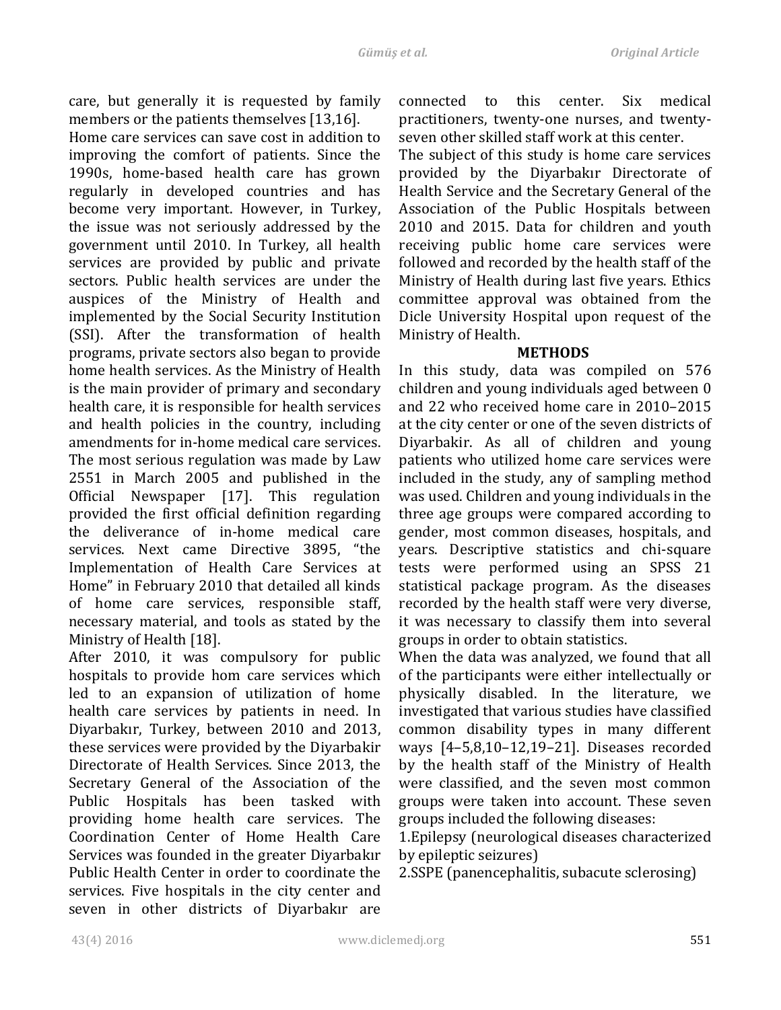care, but generally it is requested by family members or the patients themselves [13,16].

Home care services can save cost in addition to improving the comfort of patients. Since the 1990s, home-based health care has grown regularly in developed countries and has become very important. However, in Turkey, the issue was not seriously addressed by the government until 2010. In Turkey, all health services are provided by public and private sectors. Public health services are under the auspices of the Ministry of Health and implemented by the Social Security Institution (SSI). After the transformation of health programs, private sectors also began to provide home health services. As the Ministry of Health is the main provider of primary and secondary health care, it is responsible for health services and health policies in the country, including amendments for in-home medical care services. The most serious regulation was made by Law 2551 in March 2005 and published in the Official Newspaper [17]. This regulation provided the first official definition regarding the deliverance of in-home medical care services. Next came Directive 3895, "the Implementation of Health Care Services at Home" in February 2010 that detailed all kinds of home care services, responsible staff, necessary material, and tools as stated by the Ministry of Health [18].

After 2010, it was compulsory for public hospitals to provide hom care services which led to an expansion of utilization of home health care services by patients in need. In Diyarbakır, Turkey, between 2010 and 2013, these services were provided by the Divarbakir Directorate of Health Services. Since 2013, the Secretary General of the Association of the Public Hospitals has been tasked with providing home health care services. The Coordination Center of Home Health Care Services was founded in the greater Diyarbakır Public Health Center in order to coordinate the services. Five hospitals in the city center and seven in other districts of Divarbakır are connected to this center. Six medical practitioners, twenty-one nurses, and twentyseven other skilled staff work at this center.

The subject of this study is home care services provided by the Diyarbakır Directorate of Health Service and the Secretary General of the Association of the Public Hospitals between 2010 and 2015. Data for children and youth receiving public home care services were followed and recorded by the health staff of the Ministry of Health during last five years. Ethics committee approval was obtained from the Dicle University Hospital upon request of the Ministry of Health.

## **METHODS**

In this study, data was compiled on 576 children and young individuals aged between 0 and 22 who received home care in 2010–2015 at the city center or one of the seven districts of Diyarbakir. As all of children and young patients who utilized home care services were included in the study, any of sampling method was used. Children and young individuals in the three age groups were compared according to gender, most common diseases, hospitals, and years. Descriptive statistics and chi-square tests were performed using an SPSS 21 statistical package program. As the diseases recorded by the health staff were very diverse, it was necessary to classify them into several groups in order to obtain statistics.

When the data was analyzed, we found that all of the participants were either intellectually or physically disabled. In the literature, we investigated that various studies have classified common disability types in many different ways  $[4-5,8,10-12,19-21]$ . Diseases recorded by the health staff of the Ministry of Health were classified, and the seven most common groups were taken into account. These seven groups included the following diseases:

1.Epilepsy (neurological diseases characterized by epileptic seizures)

2.SSPE (panencephalitis, subacute sclerosing)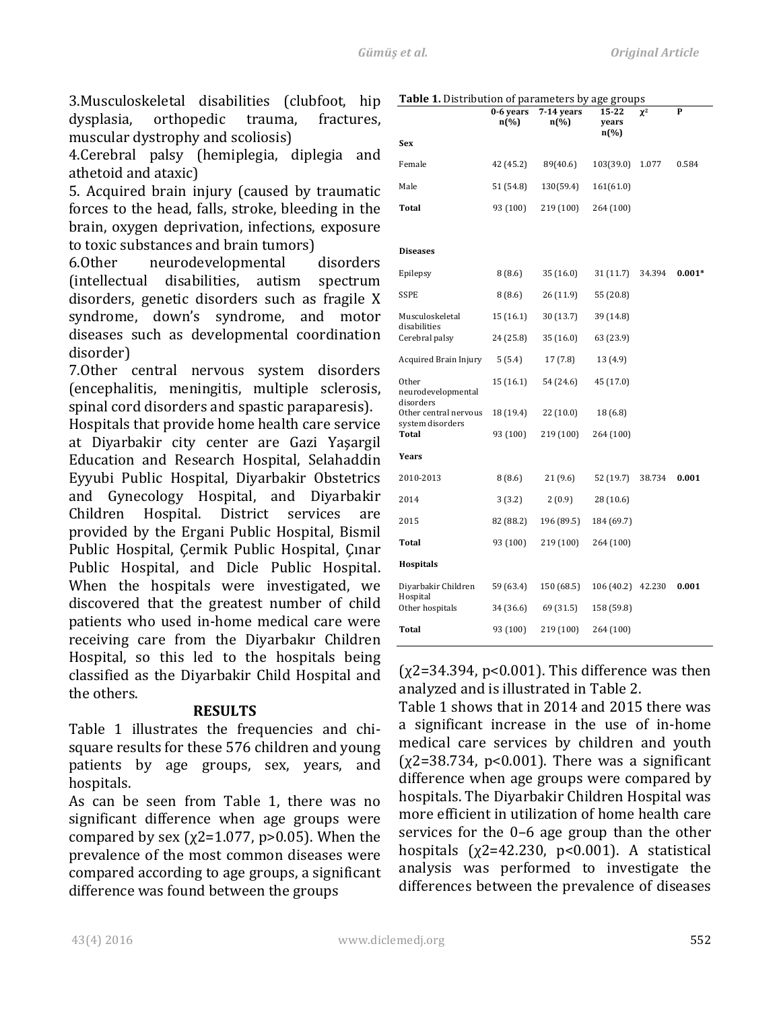3.Musculoskeletal disabilities (clubfoot, hip dysplasia, orthopedic trauma, fractures, muscular dystrophy and scoliosis)

4.Cerebral palsy (hemiplegia, diplegia and athetoid and ataxic)

5. Acquired brain injury (caused by traumatic forces to the head, falls, stroke, bleeding in the brain, oxygen deprivation, infections, exposure to toxic substances and brain tumors)

6.Other neurodevelopmental disorders (intellectual disabilities, autism spectrum disorders, genetic disorders such as fragile X syndrome, down's syndrome, and motor diseases such as developmental coordination disorder)

7.0ther central nervous system disorders (encephalitis, meningitis, multiple sclerosis, spinal cord disorders and spastic paraparesis).

Hospitals that provide home health care service at Diyarbakir city center are Gazi Yaşargil Education and Research Hospital, Selahaddin Eyyubi Public Hospital, Diyarbakir Obstetrics and Gynecology Hospital, and Diyarbakir Children Hospital. District services are provided by the Ergani Public Hospital, Bismil Public Hospital, Cermik Public Hospital, Cinar Public Hospital, and Dicle Public Hospital. When the hospitals were investigated, we discovered that the greatest number of child patients who used in-home medical care were receiving care from the Diyarbakır Children Hospital, so this led to the hospitals being classified as the Divarbakir Child Hospital and the others.

### **RESULTS**

Table 1 illustrates the frequencies and chisquare results for these 576 children and young patients by age groups, sex, years, and hospitals.

As can be seen from Table 1, there was no significant difference when age groups were compared by sex  $(\chi2=1.077, \text{p}>0.05)$ . When the prevalence of the most common diseases were compared according to age groups, a significant difference was found between the groups

**Table 1.** Distribution of parameters by age groups

| <b>rable 1.</b> Distribution of parameters by age groups | 0-6 years<br>$n\left(\%\right)$ | 7-14 years<br>$n\left(\%\right)$ | 15-22<br>years<br>n(%) | $\chi^2$ | P        |
|----------------------------------------------------------|---------------------------------|----------------------------------|------------------------|----------|----------|
| Sex                                                      |                                 |                                  |                        |          |          |
| Female                                                   | 42 (45.2)                       | 89(40.6)                         | 103(39.0)              | 1.077    | 0.584    |
| Male                                                     | 51 (54.8)                       | 130(59.4)                        | 161(61.0)              |          |          |
| <b>Total</b>                                             | 93 (100)                        | 219 (100)                        | 264 (100)              |          |          |
|                                                          |                                 |                                  |                        |          |          |
| <b>Diseases</b>                                          |                                 |                                  |                        |          |          |
| Epilepsy                                                 | 8 (8.6)                         | 35(16.0)                         | 31 (11.7)              | 34.394   | $0.001*$ |
| <b>SSPE</b>                                              | 8(8.6)                          | 26 (11.9)                        | 55 (20.8)              |          |          |
| Musculoskeletal<br>disabilities                          | 15 (16.1)                       | 30 (13.7)                        | 39 (14.8)              |          |          |
| Cerebral palsy                                           | 24 (25.8)                       | 35(16.0)                         | 63 (23.9)              |          |          |
| Acquired Brain Injury                                    | 5(5.4)                          | 17(7.8)                          | 13 (4.9)               |          |          |
| Other<br>neurodevelopmental                              | 15 (16.1)                       | 54 (24.6)                        | 45 (17.0)              |          |          |
| disorders<br>Other central nervous                       | 18 (19.4)                       | 22(10.0)                         | 18 (6.8)               |          |          |
| system disorders<br>Total                                | 93 (100)                        | 219 (100)                        | 264 (100)              |          |          |
| Years                                                    |                                 |                                  |                        |          |          |
| 2010-2013                                                | 8(8.6)                          | 21(9.6)                          | 52 (19.7)              | 38.734   | 0.001    |
| 2014                                                     | 3(3.2)                          | 2(0.9)                           | 28 (10.6)              |          |          |
| 2015                                                     | 82 (88.2)                       | 196 (89.5)                       | 184 (69.7)             |          |          |
| <b>Total</b>                                             | 93 (100)                        | 219 (100)                        | 264 (100)              |          |          |
| <b>Hospitals</b>                                         |                                 |                                  |                        |          |          |
| Diyarbakir Children<br>Hospital                          | 59 (63.4)                       | 150 (68.5)                       | 106 (40.2)             | 42.230   | 0.001    |
| Other hospitals                                          | 34 (36.6)                       | 69 (31.5)                        | 158 (59.8)             |          |          |
| <b>Total</b>                                             | 93 (100)                        | 219 (100)                        | 264 (100)              |          |          |

 $(x2=34.394, p<0.001)$ . This difference was then analyzed and is illustrated in Table 2.

Table 1 shows that in 2014 and 2015 there was a significant increase in the use of in-home medical care services by children and youth  $(x2=38.734, p<0.001)$ . There was a significant difference when age groups were compared by hospitals. The Diyarbakir Children Hospital was more efficient in utilization of home health care services for the  $0-6$  age group than the other hospitals  $(x2=42.230, p<0.001)$ . A statistical analysis was performed to investigate the differences between the prevalence of diseases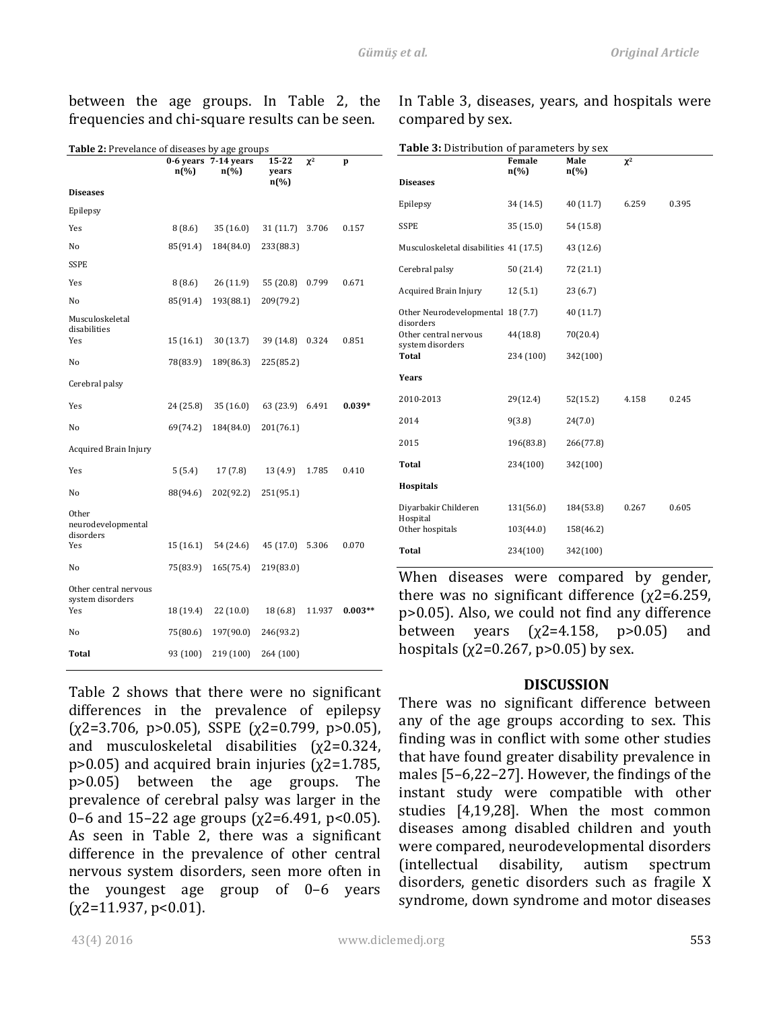| between the age groups. In Table 2, the         |  |  |  |  |
|-------------------------------------------------|--|--|--|--|
| frequencies and chi-square results can be seen. |  |  |  |  |

In Table 3, diseases, years, and hospitals were compared by sex.

**Table 3:** Distribution of parameters by sex

| Table 2: Prevelance of diseases by age groups |           |                                 |                                      |          |           |  |
|-----------------------------------------------|-----------|---------------------------------|--------------------------------------|----------|-----------|--|
|                                               | $n(\%)$   | 0-6 years 7-14 years<br>$n(\%)$ | 15-22<br>years<br>$n\left(\%\right)$ | $\chi^2$ | p         |  |
| <b>Diseases</b>                               |           |                                 |                                      |          |           |  |
| Epilepsy                                      |           |                                 |                                      |          |           |  |
| Yes                                           | 8(8.6)    | 35(16.0)                        | 31(11.7)                             | 3.706    | 0.157     |  |
| No                                            | 85(91.4)  | 184(84.0)                       | 233(88.3)                            |          |           |  |
| <b>SSPE</b>                                   |           |                                 |                                      |          |           |  |
| Yes                                           | 8 (8.6)   | 26(11.9)                        | 55 (20.8)                            | 0.799    | 0.671     |  |
| No                                            | 85(91.4)  | 193(88.1)                       | 209(79.2)                            |          |           |  |
| Musculoskeletal<br>disabilities               |           |                                 |                                      |          |           |  |
| Yes                                           | 15(16.1)  | 30(13.7)                        | 39 (14.8)                            | 0.324    | 0.851     |  |
| No                                            | 78(83.9)  | 189(86.3)                       | 225(85.2)                            |          |           |  |
| Cerebral palsy                                |           |                                 |                                      |          |           |  |
| Yes                                           | 24 (25.8) | 35(16.0)                        | 63 (23.9)                            | 6.491    | $0.039*$  |  |
| No                                            | 69(74.2)  | 184(84.0)                       | 201(76.1)                            |          |           |  |
| <b>Acquired Brain Injury</b>                  |           |                                 |                                      |          |           |  |
| Yes                                           | 5(5.4)    | 17(7.8)                         | 13(4.9)                              | 1.785    | 0.410     |  |
| No                                            | 88(94.6)  | 202(92.2)                       | 251(95.1)                            |          |           |  |
| Other<br>neurodevelopmental<br>disorders      |           |                                 |                                      |          |           |  |
| Yes                                           | 15(16.1)  | 54 (24.6)                       | 45 (17.0)                            | 5.306    | 0.070     |  |
| No                                            | 75(83.9)  | 165(75.4)                       | 219(83.0)                            |          |           |  |
| Other central nervous<br>system disorders     |           |                                 |                                      |          |           |  |
| Yes                                           | 18 (19.4) | 22 (10.0)                       | 18(6.8)                              | 11.937   | $0.003**$ |  |
| No                                            | 75(80.6)  | 197(90.0)                       | 246(93.2)                            |          |           |  |
| Total                                         | 93 (100)  | 219 (100)                       | 264 (100)                            |          |           |  |

|                                                | Female<br>$n\left(\%\right)$ | Male<br>$n(\%)$ | $\chi^2$ |       |
|------------------------------------------------|------------------------------|-----------------|----------|-------|
| <b>Diseases</b>                                |                              |                 |          |       |
| Epilepsy                                       | 34 (14.5)                    | 40 (11.7)       | 6.259    | 0.395 |
| <b>SSPE</b>                                    | 35(15.0)                     | 54 (15.8)       |          |       |
| Musculoskeletal disabilities 41 (17.5)         |                              | 43 (12.6)       |          |       |
| Cerebral palsy                                 | 50 (21.4)                    | 72 (21.1)       |          |       |
| Acquired Brain Injury                          | 12(5.1)                      | 23(6.7)         |          |       |
| Other Neurodevelopmental 18 (7.7)<br>disorders |                              | 40 (11.7)       |          |       |
| Other central nervous<br>system disorders      | 44(18.8)                     | 70(20.4)        |          |       |
| <b>Total</b>                                   | 234 (100)                    | 342(100)        |          |       |
| Years                                          |                              |                 |          |       |
| 2010-2013                                      | 29(12.4)                     | 52(15.2)        | 4.158    | 0.245 |
| 2014                                           | 9(3.8)                       | 24(7.0)         |          |       |
| 2015                                           | 196(83.8)                    | 266(77.8)       |          |       |
| <b>Total</b>                                   | 234(100)                     | 342(100)        |          |       |
| <b>Hospitals</b>                               |                              |                 |          |       |
| Diyarbakir Childeren<br>Hospital               | 131(56.0)                    | 184(53.8)       | 0.267    | 0.605 |
| Other hospitals                                | 103(44.0)                    | 158(46.2)       |          |       |
| <b>Total</b>                                   | 234(100)                     | 342(100)        |          |       |

When diseases were compared by gender, there was no significant difference  $(\chi^2=6.259)$ ,  $p > 0.05$ ). Also, we could not find any difference between years  $(\chi2=4.158, \rho>0.05)$  and hospitals  $(\chi2=0.267, \text{p} > 0.05)$  by sex.

#### **DISCUSSION**

There was no significant difference between any of the age groups according to sex. This finding was in conflict with some other studies that have found greater disability prevalence in males  $[5-6,22-27]$ . However, the findings of the instant study were compatible with other studies [4,19,28]. When the most common diseases among disabled children and youth were compared, neurodevelopmental disorders (intellectual disability, autism spectrum disorders, genetic disorders such as fragile X syndrome, down syndrome and motor diseases

Table 2 shows that there were no significant differences in the prevalence of epilepsy  $(\chi2=3.706, \text{ p}>0.05)$ , SSPE  $(\chi2=0.799, \text{ p}>0.05)$ , and musculoskeletal disabilities  $(x2=0.324,$ p>0.05) and acquired brain injuries  $(\chi2=1.785,$ p>0.05) between the age groups. The prevalence of cerebral palsy was larger in the 0–6 and 15–22 age groups  $(\chi$ 2=6.491, p<0.05). As seen in Table 2, there was a significant difference in the prevalence of other central nervous system disorders, seen more often in the youngest age group of  $0-6$  years  $(x2=11.937, p<0.01)$ .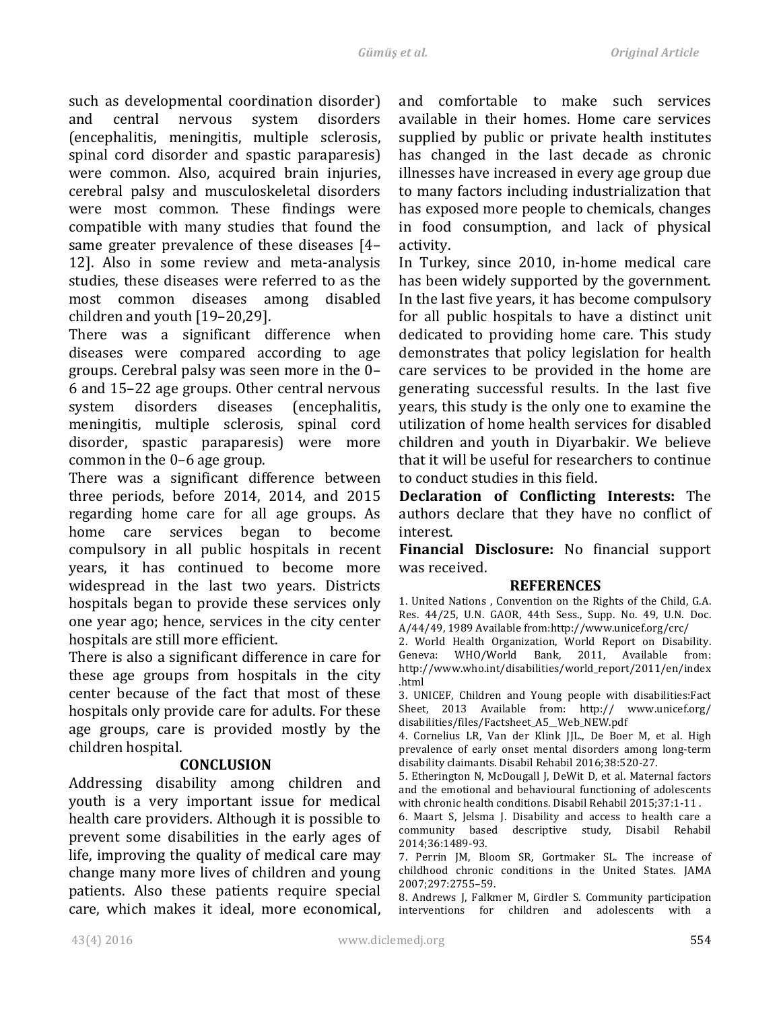such as developmental coordination disorder) and central nervous system disorders (encephalitis, meningitis, multiple sclerosis, spinal cord disorder and spastic paraparesis) were common. Also, acquired brain injuries, cerebral palsy and musculoskeletal disorders were most common. These findings were compatible with many studies that found the same greater prevalence of these diseases [4– 12]. Also in some review and meta-analysis studies, these diseases were referred to as the most common diseases among disabled children and youth  $[19-20,29]$ .

There was a significant difference when diseases were compared according to age groups. Cerebral palsy was seen more in the 0-6 and 15–22 age groups. Other central nervous system disorders diseases (encephalitis, meningitis, multiple sclerosis, spinal cord disorder, spastic paraparesis) were more common in the  $0-6$  age group.

There was a significant difference between three periods, before  $2014$ ,  $2014$ , and  $2015$ regarding home care for all age groups. As home care services began to become compulsory in all public hospitals in recent years, it has continued to become more widespread in the last two years. Districts hospitals began to provide these services only one year ago; hence, services in the city center hospitals are still more efficient.

There is also a significant difference in care for these age groups from hospitals in the city center because of the fact that most of these hospitals only provide care for adults. For these age groups, care is provided mostly by the children hospital.

## **CONCLUSION**

Addressing disability among children and youth is a very important issue for medical health care providers. Although it is possible to prevent some disabilities in the early ages of life, improving the quality of medical care may change many more lives of children and young patients. Also these patients require special care, which makes it ideal, more economical, and comfortable to make such services available in their homes. Home care services supplied by public or private health institutes has changed in the last decade as chronic illnesses have increased in every age group due to many factors including industrialization that has exposed more people to chemicals, changes in food consumption, and lack of physical activity.

In Turkey, since 2010, in-home medical care has been widely supported by the government. In the last five years, it has become compulsory for all public hospitals to have a distinct unit dedicated to providing home care. This study demonstrates that policy legislation for health care services to be provided in the home are generating successful results. In the last five years, this study is the only one to examine the utilization of home health services for disabled children and youth in Diyarbakir. We believe that it will be useful for researchers to continue to conduct studies in this field.

**Declaration of Conflicting Interests:** The authors declare that they have no conflict of interest. 

**Financial Disclosure:** No financial support was received.

#### **REFERENCES**

1. United Nations, Convention on the Rights of the Child, G.A. Res. 44/25, U.N. GAOR, 44th Sess., Supp. No. 49, U.N. Doc. A/44/49, 1989 Available from:http://www.unicef.org/crc/

2. World Health Organization, World Report on Disability. Geneva: WHO/World Bank, 2011, Available from: http://www.who.int/disabilities/world\_report/2011/en/index .html

3. UNICEF, Children and Young people with disabilities:Fact Sheet, 2013 Available from: http:// www.unicef.org/ disabilities/files/Factsheet\_A5\_\_Web\_NEW.pdf

4. Cornelius LR, Van der Klink JJL., De Boer M, et al. High prevalence of early onset mental disorders among long-term disability claimants. Disabil Rehabil 2016;38:520-27.

5. Etherington N, McDougall J, DeWit D, et al. Maternal factors and the emotional and behavioural functioning of adolescents with chronic health conditions. Disabil Rehabil 2015;37:1-11.

6. Maart S, Jelsma J. Disability and access to health care a community based descriptive study, Disabil Rehabil 2014;36:1489-93. 

7. Perrin JM, Bloom SR, Gortmaker SL. The increase of childhood chronic conditions in the United States. JAMA 2007;297:2755–59.

8. Andrews J, Falkmer M, Girdler S. Community participation interventions for children and adolescents with a